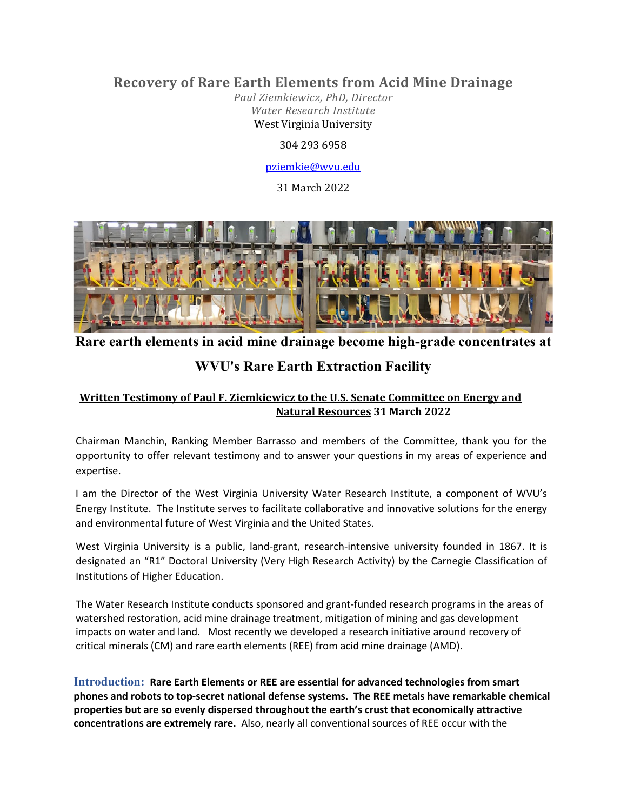# **Recovery of Rare Earth Elements from Acid Mine Drainage**

*Paul Ziemkiewicz, PhD, Director Water Research Institute* West Virginia University

## 304 293 6958

## [pziemkie@wvu.edu](mailto:pziemkie@wvu.edu)

31 March 2022



**Rare earth elements in acid mine drainage become high-grade concentrates at** 

# **WVU's Rare Earth Extraction Facility**

## **Written Testimony of Paul F. Ziemkiewicz to the U.S. Senate Committee on Energy and Natural Resources 31 March 2022**

Chairman Manchin, Ranking Member Barrasso and members of the Committee, thank you for the opportunity to offer relevant testimony and to answer your questions in my areas of experience and expertise.

I am the Director of the West Virginia University Water Research Institute, a component of WVU's Energy Institute. The Institute serves to facilitate collaborative and innovative solutions for the energy and environmental future of West Virginia and the United States.

West Virginia University is a public, land-grant, research-intensive university founded in 1867. It is designated an "R1" Doctoral University (Very High Research Activity) by the Carnegie Classification of Institutions of Higher Education.

The Water Research Institute conducts sponsored and grant-funded research programs in the areas of watershed restoration, acid mine drainage treatment, mitigation of mining and gas development impacts on water and land. Most recently we developed a research initiative around recovery of critical minerals (CM) and rare earth elements (REE) from acid mine drainage (AMD).

**Introduction: Rare Earth Elements or REE are essential for advanced technologies from smart phones and robots to top-secret national defense systems. The REE metals have remarkable chemical properties but are so evenly dispersed throughout the earth's crust that economically attractive concentrations are extremely rare.** Also, nearly all conventional sources of REE occur with the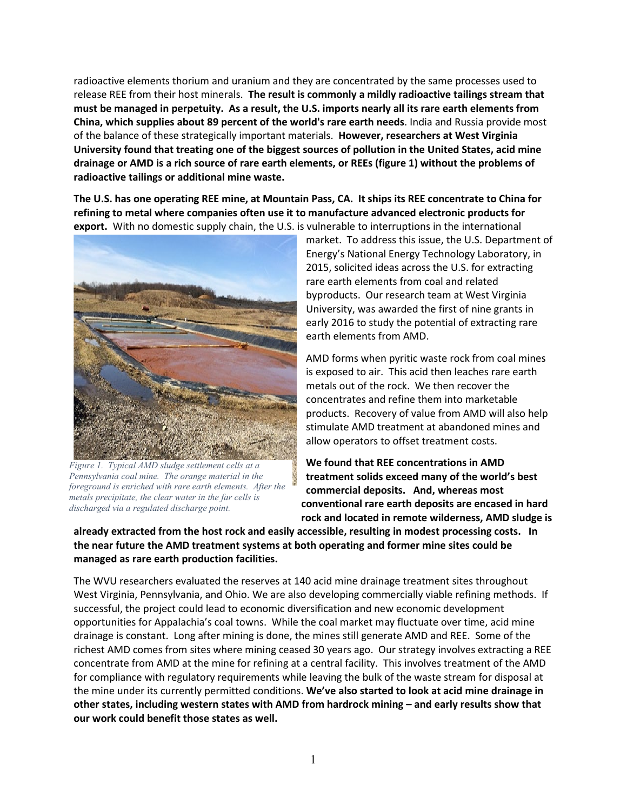radioactive elements thorium and uranium and they are concentrated by the same processes used to release REE from their host minerals. **The result is commonly a mildly radioactive tailings stream that must be managed in perpetuity. As a result, the U.S. imports nearly all its rare earth elements from China, which supplies about 89 percent of the world's rare earth needs**. India and Russia provide most of the balance of these strategically important materials. **However, researchers at West Virginia University found that treating one of the biggest sources of pollution in the United States, acid mine drainage or AMD is a rich source of rare earth elements, or REEs (figure 1) without the problems of radioactive tailings or additional mine waste.**

**The U.S. has one operating REE mine, at Mountain Pass, CA. It ships its REE concentrate to China for refining to metal where companies often use it to manufacture advanced electronic products for export.** With no domestic supply chain, the U.S. is vulnerable to interruptions in the international



*Figure 1. Typical AMD sludge settlement cells at a Pennsylvania coal mine. The orange material in the foreground is enriched with rare earth elements. After the metals precipitate, the clear water in the far cells is discharged via a regulated discharge point.*

market. To address this issue, the U.S. Department of Energy's National Energy Technology Laboratory, in 2015, solicited ideas across the U.S. for extracting rare earth elements from coal and related byproducts. Our research team at West Virginia University, was awarded the first of nine grants in early 2016 to study the potential of extracting rare earth elements from AMD.

AMD forms when pyritic waste rock from coal mines is exposed to air. This acid then leaches rare earth metals out of the rock. We then recover the concentrates and refine them into marketable products. Recovery of value from AMD will also help stimulate AMD treatment at abandoned mines and allow operators to offset treatment costs.

**We found that REE concentrations in AMD treatment solids exceed many of the world's best commercial deposits. And, whereas most conventional rare earth deposits are encased in hard rock and located in remote wilderness, AMD sludge is** 

**already extracted from the host rock and easily accessible, resulting in modest processing costs. In the near future the AMD treatment systems at both operating and former mine sites could be managed as rare earth production facilities.**

The WVU researchers evaluated the reserves at 140 acid mine drainage treatment sites throughout West Virginia, Pennsylvania, and Ohio. We are also developing commercially viable refining methods. If successful, the project could lead to economic diversification and new economic development opportunities for Appalachia's coal towns. While the coal market may fluctuate over time, acid mine drainage is constant. Long after mining is done, the mines still generate AMD and REE. Some of the richest AMD comes from sites where mining ceased 30 years ago. Our strategy involves extracting a REE concentrate from AMD at the mine for refining at a central facility. This involves treatment of the AMD for compliance with regulatory requirements while leaving the bulk of the waste stream for disposal at the mine under its currently permitted conditions. **We've also started to look at acid mine drainage in other states, including western states with AMD from hardrock mining – and early results show that our work could benefit those states as well.**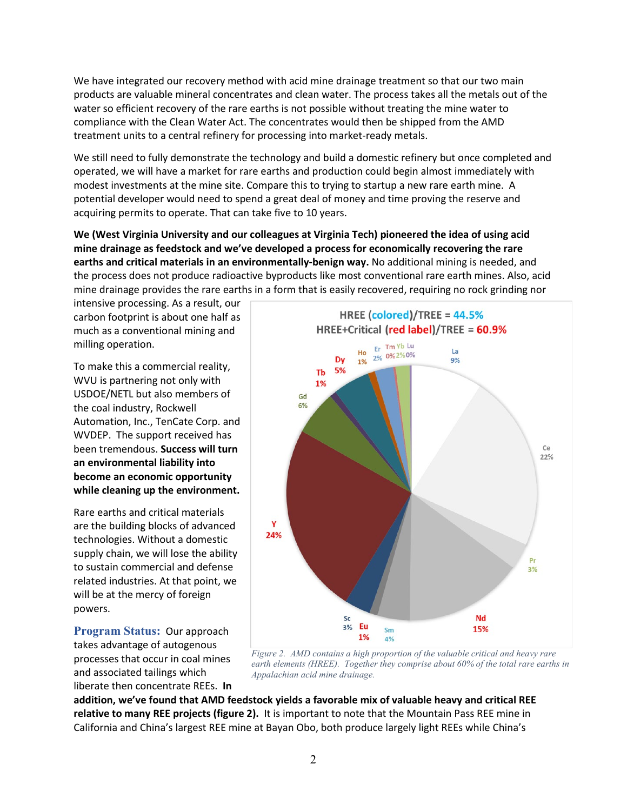We have integrated our recovery method with acid mine drainage treatment so that our two main products are valuable mineral concentrates and clean water. The process takes all the metals out of the water so efficient recovery of the rare earths is not possible without treating the mine water to compliance with the Clean Water Act. The concentrates would then be shipped from the AMD treatment units to a central refinery for processing into market-ready metals.

We still need to fully demonstrate the technology and build a domestic refinery but once completed and operated, we will have a market for rare earths and production could begin almost immediately with modest investments at the mine site. Compare this to trying to startup a new rare earth mine. A potential developer would need to spend a great deal of money and time proving the reserve and acquiring permits to operate. That can take five to 10 years.

**We (West Virginia University and our colleagues at Virginia Tech) pioneered the idea of using acid mine drainage as feedstock and we've developed a process for economically recovering the rare earths and critical materials in an environmentally-benign way.** No additional mining is needed, and the process does not produce radioactive byproducts like most conventional rare earth mines. Also, acid mine drainage provides the rare earths in a form that is easily recovered, requiring no rock grinding nor

intensive processing. As a result, our carbon footprint is about one half as much as a conventional mining and milling operation.

To make this a commercial reality, WVU is partnering not only with USDOE/NETL but also members of the coal industry, Rockwell Automation, Inc., TenCate Corp. and WVDEP. The support received has been tremendous. **Success will turn an environmental liability into become an economic opportunity while cleaning up the environment.**

Rare earths and critical materials are the building blocks of advanced technologies. Without a domestic supply chain, we will lose the ability to sustain commercial and defense related industries. At that point, we will be at the mercy of foreign powers.

**Program Status: Our approach** takes advantage of autogenous processes that occur in coal mines and associated tailings which liberate then concentrate REEs. **In** 



*Figure 2. AMD contains a high proportion of the valuable critical and heavy rare earth elements (HREE). Together they comprise about 60% of the total rare earths in Appalachian acid mine drainage.*

**addition, we've found that AMD feedstock yields a favorable mix of valuable heavy and critical REE relative to many REE projects (figure 2).** It is important to note that the Mountain Pass REE mine in California and China's largest REE mine at Bayan Obo, both produce largely light REEs while China's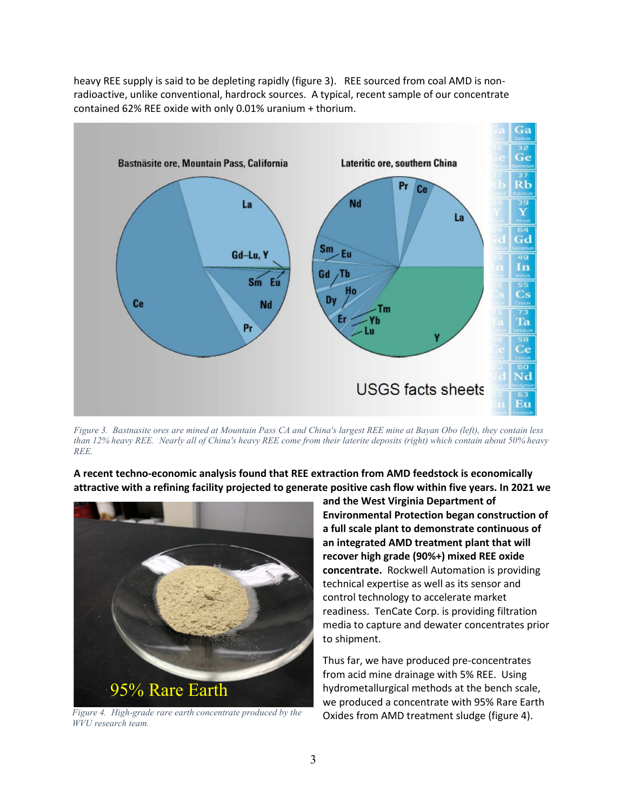

heavy REE supply is said to be depleting rapidly (figure 3). REE sourced from coal AMD is nonradioactive, unlike conventional, hardrock sources. A typical, recent sample of our concentrate contained 62% REE oxide with only 0.01% uranium + thorium.

*Figure 3. Bastnasite ores are mined at Mountain Pass CA and China's largest REE mine at Bayan Obo (left), they contain less than 12% heavy REE. Nearly all of China's heavy REE come from their laterite deposits (right) which contain about 50% heavy REE.*

**A recent techno-economic analysis found that REE extraction from AMD feedstock is economically attractive with a refining facility projected to generate positive cash flow within five years. In 2021 we**



*Figure 4. High-grade rare earth concentrate produced by the WVU research team.*

**and the West Virginia Department of Environmental Protection began construction of a full scale plant to demonstrate continuous of an integrated AMD treatment plant that will recover high grade (90%+) mixed REE oxide concentrate.** Rockwell Automation is providing technical expertise as well as its sensor and control technology to accelerate market readiness. TenCate Corp. is providing filtration media to capture and dewater concentrates prior to shipment.

Thus far, we have produced pre-concentrates from acid mine drainage with 5% REE. Using hydrometallurgical methods at the bench scale, we produced a concentrate with 95% Rare Earth Oxides from AMD treatment sludge (figure 4).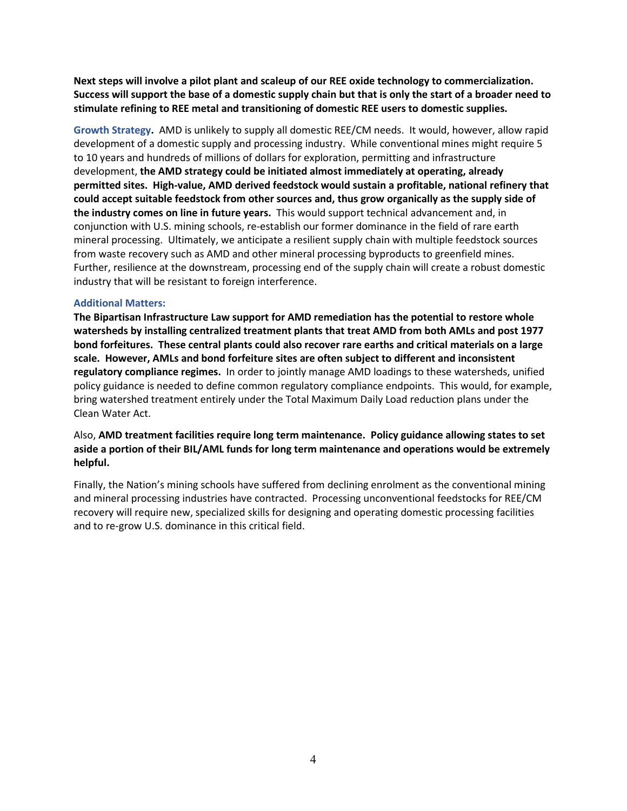**Next steps will involve a pilot plant and scaleup of our REE oxide technology to commercialization. Success will support the base of a domestic supply chain but that is only the start of a broader need to stimulate refining to REE metal and transitioning of domestic REE users to domestic supplies.** 

**Growth Strategy.** AMD is unlikely to supply all domestic REE/CM needs. It would, however, allow rapid development of a domestic supply and processing industry. While conventional mines might require 5 to 10 years and hundreds of millions of dollars for exploration, permitting and infrastructure development, **the AMD strategy could be initiated almost immediately at operating, already permitted sites. High-value, AMD derived feedstock would sustain a profitable, national refinery that could accept suitable feedstock from other sources and, thus grow organically as the supply side of the industry comes on line in future years.** This would support technical advancement and, in conjunction with U.S. mining schools, re-establish our former dominance in the field of rare earth mineral processing. Ultimately, we anticipate a resilient supply chain with multiple feedstock sources from waste recovery such as AMD and other mineral processing byproducts to greenfield mines. Further, resilience at the downstream, processing end of the supply chain will create a robust domestic industry that will be resistant to foreign interference.

#### **Additional Matters:**

**The Bipartisan Infrastructure Law support for AMD remediation has the potential to restore whole watersheds by installing centralized treatment plants that treat AMD from both AMLs and post 1977 bond forfeitures. These central plants could also recover rare earths and critical materials on a large scale. However, AMLs and bond forfeiture sites are often subject to different and inconsistent regulatory compliance regimes.** In order to jointly manage AMD loadings to these watersheds, unified policy guidance is needed to define common regulatory compliance endpoints. This would, for example, bring watershed treatment entirely under the Total Maximum Daily Load reduction plans under the Clean Water Act.

### Also, **AMD treatment facilities require long term maintenance. Policy guidance allowing states to set aside a portion of their BIL/AML funds for long term maintenance and operations would be extremely helpful.**

Finally, the Nation's mining schools have suffered from declining enrolment as the conventional mining and mineral processing industries have contracted. Processing unconventional feedstocks for REE/CM recovery will require new, specialized skills for designing and operating domestic processing facilities and to re-grow U.S. dominance in this critical field.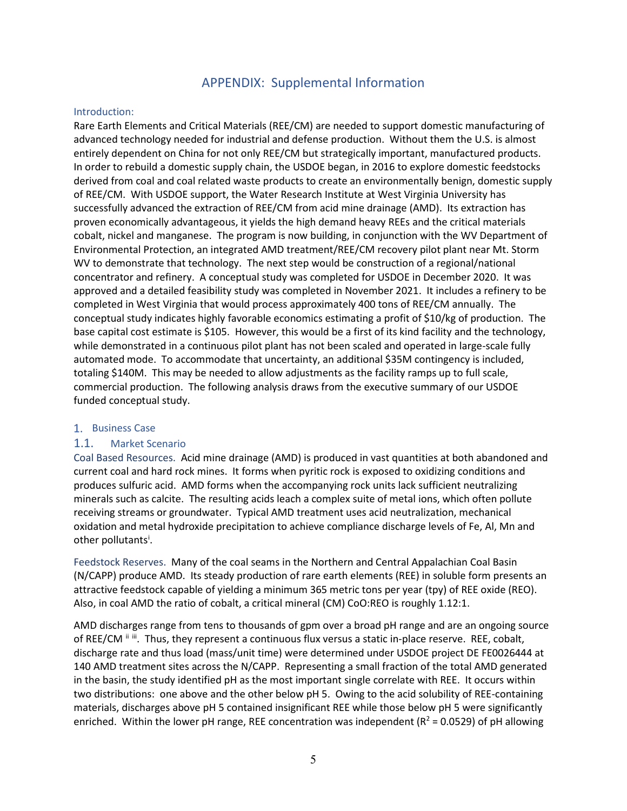## APPENDIX: Supplemental Information

#### Introduction:

Rare Earth Elements and Critical Materials (REE/CM) are needed to support domestic manufacturing of advanced technology needed for industrial and defense production. Without them the U.S. is almost entirely dependent on China for not only REE/CM but strategically important, manufactured products. In order to rebuild a domestic supply chain, the USDOE began, in 2016 to explore domestic feedstocks derived from coal and coal related waste products to create an environmentally benign, domestic supply of REE/CM. With USDOE support, the Water Research Institute at West Virginia University has successfully advanced the extraction of REE/CM from acid mine drainage (AMD). Its extraction has proven economically advantageous, it yields the high demand heavy REEs and the critical materials cobalt, nickel and manganese. The program is now building, in conjunction with the WV Department of Environmental Protection, an integrated AMD treatment/REE/CM recovery pilot plant near Mt. Storm WV to demonstrate that technology. The next step would be construction of a regional/national concentrator and refinery. A conceptual study was completed for USDOE in December 2020. It was approved and a detailed feasibility study was completed in November 2021. It includes a refinery to be completed in West Virginia that would process approximately 400 tons of REE/CM annually. The conceptual study indicates highly favorable economics estimating a profit of \$10/kg of production. The base capital cost estimate is \$105. However, this would be a first of its kind facility and the technology, while demonstrated in a continuous pilot plant has not been scaled and operated in large-scale fully automated mode. To accommodate that uncertainty, an additional \$35M contingency is included, totaling \$140M. This may be needed to allow adjustments as the facility ramps up to full scale, commercial production. The following analysis draws from the executive summary of our USDOE funded conceptual study.

### 1. Business Case

### 1.1. Market Scenario

Coal Based Resources. Acid mine drainage (AMD) is produced in vast quantities at both abandoned and current coal and hard rock mines. It forms when pyritic rock is exposed to oxidizing conditions and produces sulfuric acid. AMD forms when the accompanying rock units lack sufficient neutralizing minerals such as calcite. The resulting acids leach a complex suite of metal ions, which often pollute receiving streams or groundwater. Typical AMD treatment uses acid neutralization, mechanical oxidation and metal hydroxide precipitation to achieve compliance discharge levels of Fe, Al, Mn and other pollutants<sup>[i](#page-9-0)</sup>.

Feedstock Reserves. Many of the coal seams in the Northern and Central Appalachian Coal Basin (N/CAPP) produce AMD. Its steady production of rare earth elements (REE) in soluble form presents an attractive feedstock capable of yielding a minimum 365 metric tons per year (tpy) of REE oxide (REO). Also, in coal AMD the ratio of cobalt, a critical mineral (CM) CoO:REO is roughly 1.12:1.

AMD discharges range from tens to thousands of gpm over a broad pH range and are an ongoing source of REE/CM  $\text{ii} \text{iii}$  $\text{ii} \text{iii}$  $\text{ii} \text{iii}$ . Thus, they represent a continuous flux versus a static in-place reserve. REE, cobalt, discharge rate and thus load (mass/unit time) were determined under USDOE project DE FE0026444 at 140 AMD treatment sites across the N/CAPP. Representing a small fraction of the total AMD generated in the basin, the study identified pH as the most important single correlate with REE. It occurs within two distributions: one above and the other below pH 5. Owing to the acid solubility of REE-containing materials, discharges above pH 5 contained insignificant REE while those below pH 5 were significantly enriched. Within the lower pH range, REE concentration was independent ( $R^2 = 0.0529$ ) of pH allowing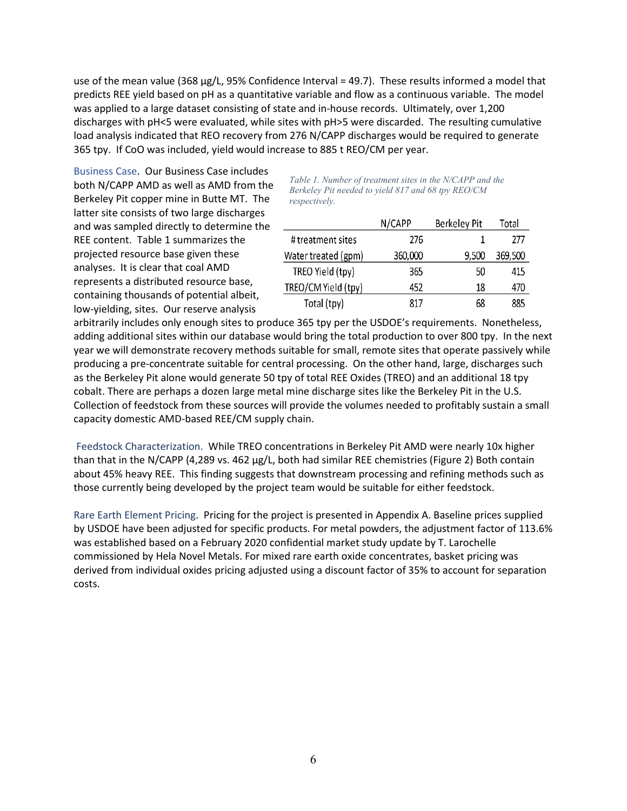use of the mean value (368 µg/L, 95% Confidence Interval = 49.7). These results informed a model that predicts REE yield based on pH as a quantitative variable and flow as a continuous variable. The model was applied to a large dataset consisting of state and in-house records. Ultimately, over 1,200 discharges with pH<5 were evaluated, while sites with pH>5 were discarded. The resulting cumulative load analysis indicated that REO recovery from 276 N/CAPP discharges would be required to generate 365 tpy. If CoO was included, yield would increase to 885 t REO/CM per year.

Business Case. Our Business Case includes both N/CAPP AMD as well as AMD from the Berkeley Pit copper mine in Butte MT. The latter site consists of two large discharges and was sampled directly to determine the REE content. Table 1 summarizes the projected resource base given these analyses. It is clear that coal AMD represents a distributed resource base, containing thousands of potential albeit, low-yielding, sites. Our reserve analysis

*Table 1. Number of treatment sites in the N/CAPP and the Berkeley Pit needed to yield 817 and 68 tpy REO/CM respectively.*

|                     | N/CAPP  | Berkeley Pit | Total   |
|---------------------|---------|--------------|---------|
| # treatment sites   | 276     |              | 777     |
| Water treated (gpm) | 360,000 | 9,500        | 369,500 |
| TREO Yield (tpy)    | 365     | 50           | 415     |
| TREO/CM Yield (tpy) | 452     | 18           | 470     |
| Total (tpy)         | 817     | 68           | 885     |

arbitrarily includes only enough sites to produce 365 tpy per the USDOE's requirements. Nonetheless, adding additional sites within our database would bring the total production to over 800 tpy. In the next year we will demonstrate recovery methods suitable for small, remote sites that operate passively while producing a pre-concentrate suitable for central processing. On the other hand, large, discharges such as the Berkeley Pit alone would generate 50 tpy of total REE Oxides (TREO) and an additional 18 tpy cobalt. There are perhaps a dozen large metal mine discharge sites like the Berkeley Pit in the U.S. Collection of feedstock from these sources will provide the volumes needed to profitably sustain a small capacity domestic AMD-based REE/CM supply chain.

Feedstock Characterization. While TREO concentrations in Berkeley Pit AMD were nearly 10x higher than that in the N/CAPP (4,289 vs. 462 µg/L, both had similar REE chemistries (Figure 2) Both contain about 45% heavy REE. This finding suggests that downstream processing and refining methods such as those currently being developed by the project team would be suitable for either feedstock.

Rare Earth Element Pricing. Pricing for the project is presented in Appendix A. Baseline prices supplied by USDOE have been adjusted for specific products. For metal powders, the adjustment factor of 113.6% was established based on a February 2020 confidential market study update by T. Larochelle commissioned by Hela Novel Metals. For mixed rare earth oxide concentrates, basket pricing was derived from individual oxides pricing adjusted using a discount factor of 35% to account for separation costs.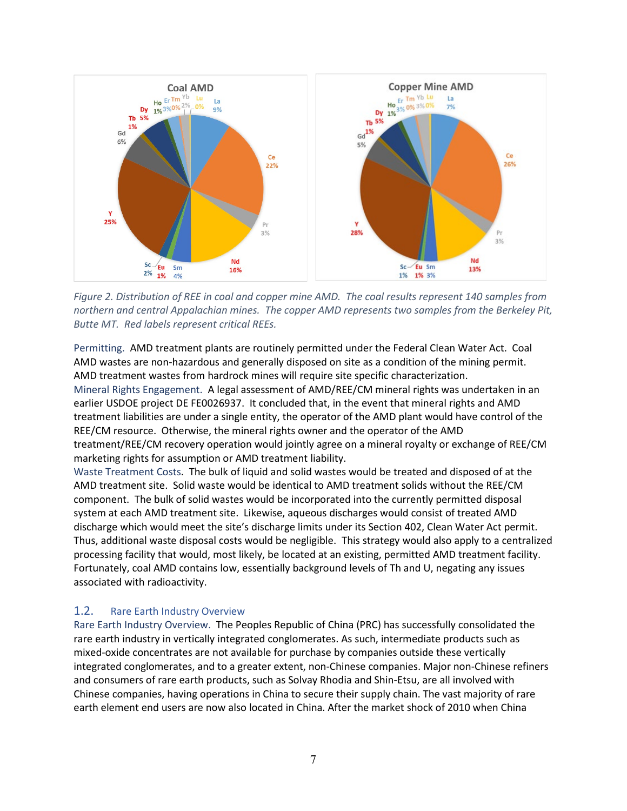

*Figure 2. Distribution of REE in coal and copper mine AMD. The coal results represent 140 samples from northern and central Appalachian mines. The copper AMD represents two samples from the Berkeley Pit, Butte MT. Red labels represent critical REEs.*

Permitting. AMD treatment plants are routinely permitted under the Federal Clean Water Act. Coal AMD wastes are non-hazardous and generally disposed on site as a condition of the mining permit. AMD treatment wastes from hardrock mines will require site specific characterization. Mineral Rights Engagement. A legal assessment of AMD/REE/CM mineral rights was undertaken in an earlier USDOE project DE FE0026937. It concluded that, in the event that mineral rights and AMD treatment liabilities are under a single entity, the operator of the AMD plant would have control of the REE/CM resource. Otherwise, the mineral rights owner and the operator of the AMD treatment/REE/CM recovery operation would jointly agree on a mineral royalty or exchange of REE/CM marketing rights for assumption or AMD treatment liability.

Waste Treatment Costs. The bulk of liquid and solid wastes would be treated and disposed of at the AMD treatment site. Solid waste would be identical to AMD treatment solids without the REE/CM component. The bulk of solid wastes would be incorporated into the currently permitted disposal system at each AMD treatment site. Likewise, aqueous discharges would consist of treated AMD discharge which would meet the site's discharge limits under its Section 402, Clean Water Act permit. Thus, additional waste disposal costs would be negligible. This strategy would also apply to a centralized processing facility that would, most likely, be located at an existing, permitted AMD treatment facility. Fortunately, coal AMD contains low, essentially background levels of Th and U, negating any issues associated with radioactivity.

## 1.2. Rare Earth Industry Overview

Rare Earth Industry Overview. The Peoples Republic of China (PRC) has successfully consolidated the rare earth industry in vertically integrated conglomerates. As such, intermediate products such as mixed-oxide concentrates are not available for purchase by companies outside these vertically integrated conglomerates, and to a greater extent, non-Chinese companies. Major non-Chinese refiners and consumers of rare earth products, such as Solvay Rhodia and Shin-Etsu, are all involved with Chinese companies, having operations in China to secure their supply chain. The vast majority of rare earth element end users are now also located in China. After the market shock of 2010 when China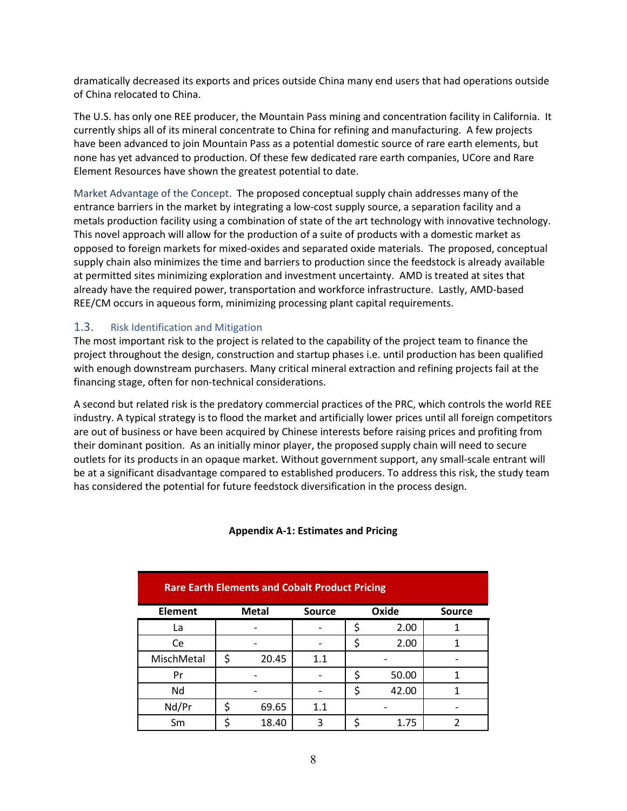dramatically decreased its exports and prices outside China many end users that had operations outside of China relocated to China.

The U.S. has only one REE producer, the Mountain Pass mining and concentration facility in California. It currently ships all of its mineral concentrate to China for refining and manufacturing. A few projects have been advanced to join Mountain Pass as a potential domestic source of rare earth elements, but none has yet advanced to production. Of these few dedicated rare earth companies, UCore and Rare Element Resources have shown the greatest potential to date.

Market Advantage of the Concept. The proposed conceptual supply chain addresses many of the entrance barriers in the market by integrating a low-cost supply source, a separation facility and a metals production facility using a combination of state of the art technology with innovative technology. This novel approach will allow for the production of a suite of products with a domestic market as opposed to foreign markets for mixed-oxides and separated oxide materials. The proposed, conceptual supply chain also minimizes the time and barriers to production since the feedstock is already available at permitted sites minimizing exploration and investment uncertainty. AMD is treated at sites that already have the required power, transportation and workforce infrastructure. Lastly, AMD-based REE/CM occurs in aqueous form, minimizing processing plant capital requirements.

### 1.3. Risk Identification and Mitigation

The most important risk to the project is related to the capability of the project team to finance the project throughout the design, construction and startup phases i.e. until production has been qualified with enough downstream purchasers. Many critical mineral extraction and refining projects fail at the financing stage, often for non-technical considerations.

A second but related risk is the predatory commercial practices of the PRC, which controls the world REE industry. A typical strategy is to flood the market and artificially lower prices until all foreign competitors are out of business or have been acquired by Chinese interests before raising prices and profiting from their dominant position. As an initially minor player, the proposed supply chain will need to secure outlets for its products in an opaque market. Without government support, any small-scale entrant will be at a significant disadvantage compared to established producers. To address this risk, the study team has considered the potential for future feedstock diversification in the process design.

| <b>Rare Earth Elements and Cobalt Product Pricing</b> |              |       |               |             |       |               |  |  |
|-------------------------------------------------------|--------------|-------|---------------|-------------|-------|---------------|--|--|
| <b>Element</b>                                        | <b>Metal</b> |       | <b>Source</b> |             | Oxide | <b>Source</b> |  |  |
| La                                                    |              |       |               | 2.00        |       |               |  |  |
| Ce                                                    |              |       |               | 2.00        |       |               |  |  |
| MischMetal                                            | \$<br>20.45  |       | 1.1           |             |       |               |  |  |
| Pr                                                    |              |       |               | ς<br>50.00  |       |               |  |  |
| Nd                                                    |              |       |               | \$<br>42.00 |       |               |  |  |
| Nd/Pr                                                 | \$           | 69.65 | 1.1           |             |       |               |  |  |
| Sm                                                    |              | 18.40 | ς             |             | 1.75  |               |  |  |

#### **Appendix A-1: Estimates and Pricing**